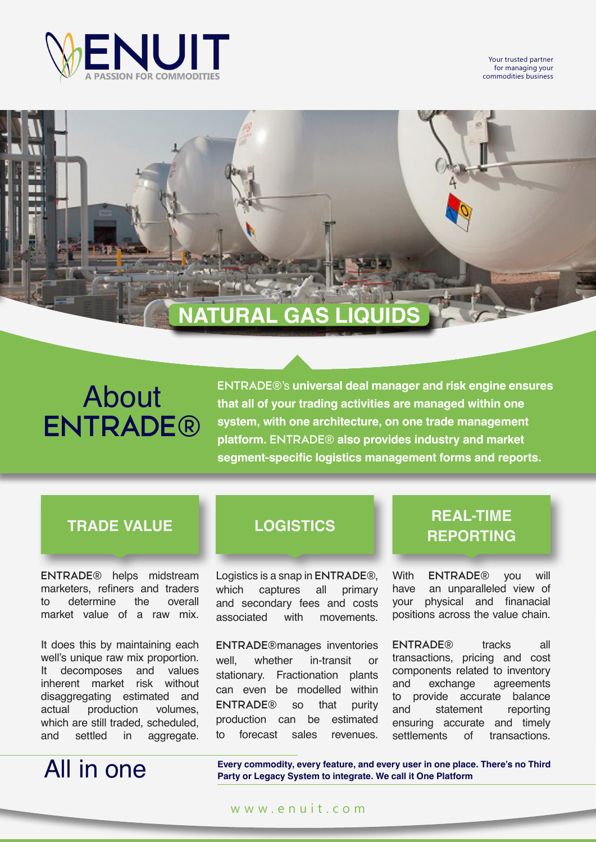

Your trusted partner for managing your commodities business

## **NATURAL GAS LIQUIDS**

# About **ENTRADE®**

**ENTRADE®**'s **universal deal manager and risk engine ensures that all of your trading activities are managed within one system, with one architecture, on one trade management platform. ENTRADE® also provides industry and market segment-specific logistics management forms and reports.**

**ENTRADE®** helps midstream marketers, refiners and traders<br>to determine the overall to determine the market value of a raw mix.

It does this by maintaining each well's unique raw mix proportion. It decomposes and values inherent market risk without disaggregating estimated and actual production volumes, which are still traded, scheduled,<br>and settled in aggregate. in aggregate.

# All in one

Logistics is a snap in **ENTRADE®**, which captures all primary and secondary fees and costs associated with movements.

**ENTRADE®**manages inventories well, whether in-transit or stationary. Fractionation plants can even be modelled within **ENTRADE®** so that purity production can be estimated to forecast sales revenues.

## **TRADE VALUE LOGISTICS REAL-TIME REPORTING**

With **ENTRADE®** you will an unparalleled view of your physical and finanacial positions across the value chain.

**ENTRADE®** tracks all transactions, pricing and cost components related to inventory and exchange agreements to provide accurate balance and statement reporting ensuring accurate and timely settlements of transactions.

**Every commodity, every feature, and every user in one place. There's no Third Party or Legacy System to integrate. We call it One Platform**

### www.enuit.com